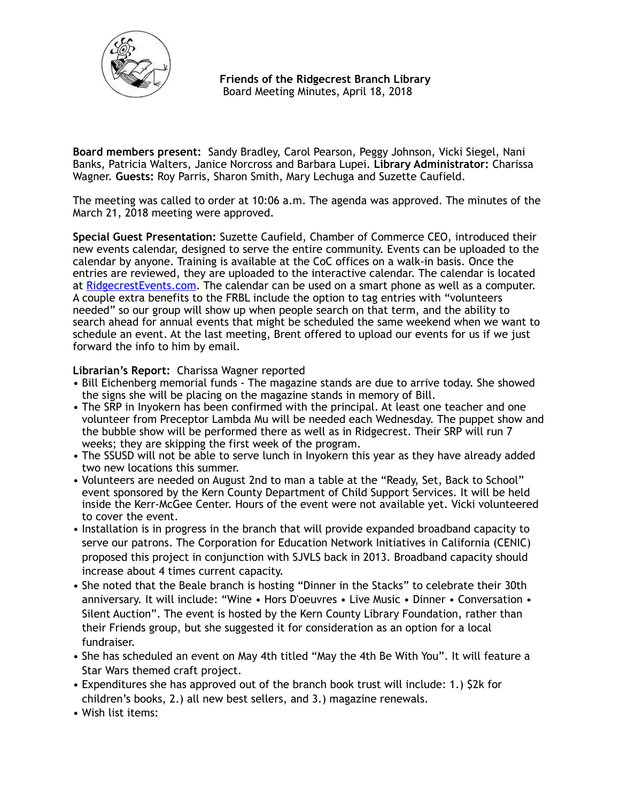

 **Friends of the Ridgecrest Branch Library**  Board Meeting Minutes, April 18, 2018

**Board members present:** Sandy Bradley, Carol Pearson, Peggy Johnson, Vicki Siegel, Nani Banks, Patricia Walters, Janice Norcross and Barbara Lupei. **Library Administrator:** Charissa Wagner. **Guests:** Roy Parris, Sharon Smith, Mary Lechuga and Suzette Caufield.

The meeting was called to order at 10:06 a.m. The agenda was approved. The minutes of the March 21, 2018 meeting were approved.

**Special Guest Presentation:** Suzette Caufield, Chamber of Commerce CEO, introduced their new events calendar, designed to serve the entire community. Events can be uploaded to the calendar by anyone. Training is available at the CoC offices on a walk-in basis. Once the entries are reviewed, they are uploaded to the interactive calendar. The calendar is located at [RidgecrestEvents.com.](http://RidgecrestEvents.com) The calendar can be used on a smart phone as well as a computer. A couple extra benefits to the FRBL include the option to tag entries with "volunteers needed" so our group will show up when people search on that term, and the ability to search ahead for annual events that might be scheduled the same weekend when we want to schedule an event. At the last meeting, Brent offered to upload our events for us if we just forward the info to him by email.

# **Librarian's Report:** Charissa Wagner reported

- Bill Eichenberg memorial funds The magazine stands are due to arrive today. She showed the signs she will be placing on the magazine stands in memory of Bill.
- The SRP in Inyokern has been confirmed with the principal. At least one teacher and one volunteer from Preceptor Lambda Mu will be needed each Wednesday. The puppet show and the bubble show will be performed there as well as in Ridgecrest. Their SRP will run 7 weeks; they are skipping the first week of the program.
- The SSUSD will not be able to serve lunch in Inyokern this year as they have already added two new locations this summer.
- Volunteers are needed on August 2nd to man a table at the "Ready, Set, Back to School" event sponsored by the Kern County Department of Child Support Services. It will be held inside the Kerr-McGee Center. Hours of the event were not available yet. Vicki volunteered to cover the event.
- Installation is in progress in the branch that will provide expanded broadband capacity to serve our patrons. The Corporation for Education Network Initiatives in California (CENIC) proposed this project in conjunction with SJVLS back in 2013. Broadband capacity should increase about 4 times current capacity.
- She noted that the Beale branch is hosting "Dinner in the Stacks" to celebrate their 30th anniversary. It will include: "Wine • Hors D'oeuvres • Live Music • Dinner • Conversation • Silent Auction". The event is hosted by the Kern County Library Foundation, rather than their Friends group, but she suggested it for consideration as an option for a local fundraiser.
- She has scheduled an event on May 4th titled "May the 4th Be With You". It will feature a Star Wars themed craft project.
- Expenditures she has approved out of the branch book trust will include: 1.) \$2k for children's books, 2.) all new best sellers, and 3.) magazine renewals.
- Wish list items: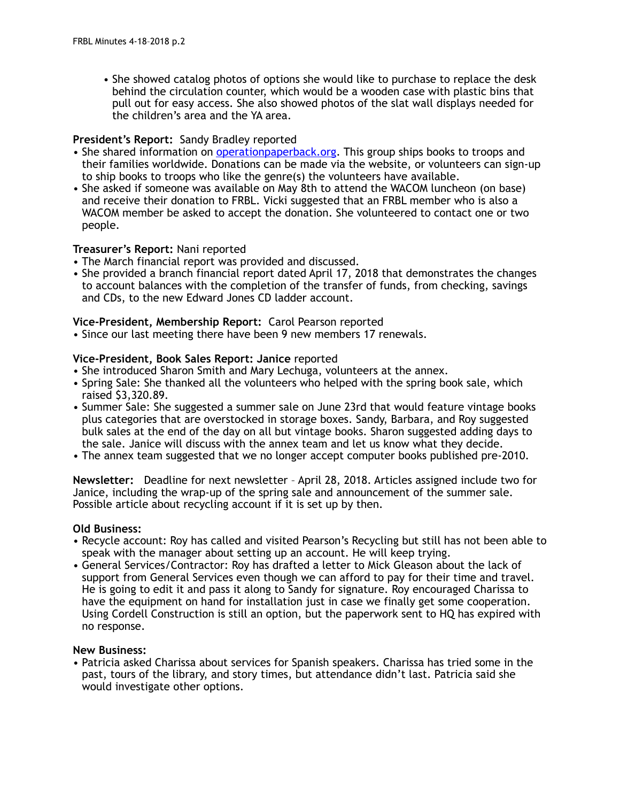• She showed catalog photos of options she would like to purchase to replace the desk behind the circulation counter, which would be a wooden case with plastic bins that pull out for easy access. She also showed photos of the slat wall displays needed for the children's area and the YA area.

## **President's Report:** Sandy Bradley reported

- She shared information on [operationpaperback.org](http://operationpaperback.org). This group ships books to troops and their families worldwide. Donations can be made via the website, or volunteers can sign-up to ship books to troops who like the genre(s) the volunteers have available.
- She asked if someone was available on May 8th to attend the WACOM luncheon (on base) and receive their donation to FRBL. Vicki suggested that an FRBL member who is also a WACOM member be asked to accept the donation. She volunteered to contact one or two people.

### **Treasurer's Report:** Nani reported

- The March financial report was provided and discussed.
- She provided a branch financial report dated April 17, 2018 that demonstrates the changes to account balances with the completion of the transfer of funds, from checking, savings and CDs, to the new Edward Jones CD ladder account.

### **Vice-President, Membership Report:** Carol Pearson reported

• Since our last meeting there have been 9 new members 17 renewals.

### **Vice-President, Book Sales Report: Janice** reported

- She introduced Sharon Smith and Mary Lechuga, volunteers at the annex.
- Spring Sale: She thanked all the volunteers who helped with the spring book sale, which raised \$3,320.89.
- Summer Sale: She suggested a summer sale on June 23rd that would feature vintage books plus categories that are overstocked in storage boxes. Sandy, Barbara, and Roy suggested bulk sales at the end of the day on all but vintage books. Sharon suggested adding days to the sale. Janice will discuss with the annex team and let us know what they decide.
- The annex team suggested that we no longer accept computer books published pre-2010.

**Newsletter:** Deadline for next newsletter – April 28, 2018. Articles assigned include two for Janice, including the wrap-up of the spring sale and announcement of the summer sale. Possible article about recycling account if it is set up by then.

#### **Old Business:**

- Recycle account: Roy has called and visited Pearson's Recycling but still has not been able to speak with the manager about setting up an account. He will keep trying.
- General Services/Contractor: Roy has drafted a letter to Mick Gleason about the lack of support from General Services even though we can afford to pay for their time and travel. He is going to edit it and pass it along to Sandy for signature. Roy encouraged Charissa to have the equipment on hand for installation just in case we finally get some cooperation. Using Cordell Construction is still an option, but the paperwork sent to HQ has expired with no response.

#### **New Business:**

• Patricia asked Charissa about services for Spanish speakers. Charissa has tried some in the past, tours of the library, and story times, but attendance didn't last. Patricia said she would investigate other options.